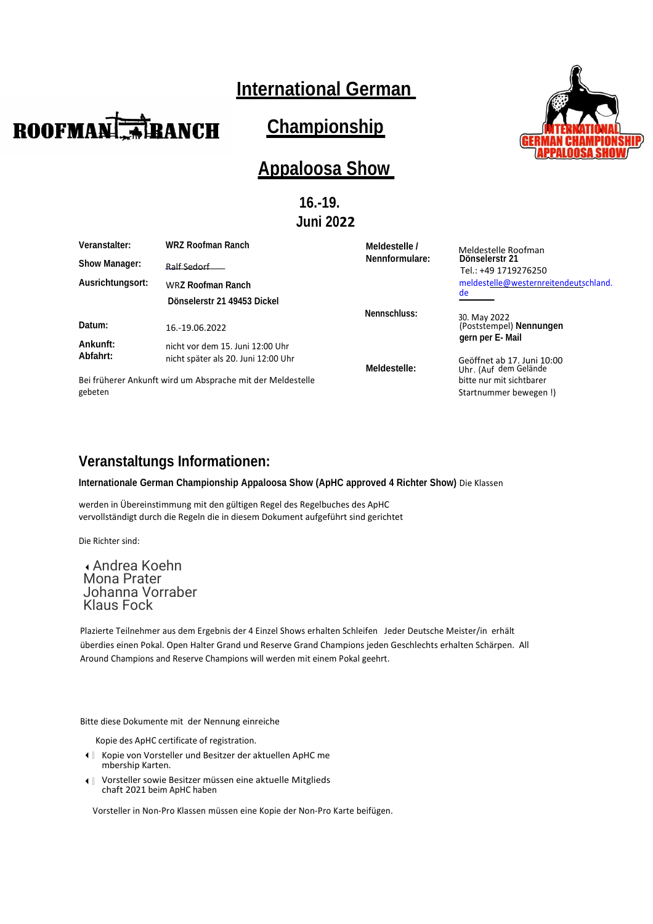# **International German**

# **Championship**

# **Appaloosa Show**

**16.-19. Juni 2022**

| Veranstalter:                                                         | <b>WRZ Roofman Ranch</b>                                                | Meldestelle /  | Meldestelle Roofman                                                     |
|-----------------------------------------------------------------------|-------------------------------------------------------------------------|----------------|-------------------------------------------------------------------------|
| <b>Show Manager:</b>                                                  | Ralf Sedorf                                                             | Nennformulare: | Dönselerstr 21<br>Tel.: +49 1719276250                                  |
| Ausrichtungsort:                                                      | WRZ Roofman Ranch                                                       |                | meldestelle@westernreitendeutschland.                                   |
|                                                                       | Dönselerstr 21 49453 Dickel                                             |                | de                                                                      |
| Datum:                                                                | 16.-19.06.2022                                                          | Nennschluss:   | 30. May 2022<br>(Poststempel) Nennungen                                 |
| Ankunft:<br>Abfahrt:                                                  | nicht vor dem 15. Juni 12:00 Uhr<br>nicht später als 20. Juni 12:00 Uhr | Meldestelle:   | gern per E- Mail<br>Geöffnet ab 17. Juni 10:00<br>Uhr. (Auf dem Gelände |
| Bei früherer Ankunft wird um Absprache mit der Meldestelle<br>gebeten |                                                                         |                | bitte nur mit sichtbarer<br>Startnummer bewegen!)                       |

# **Veranstaltungs Informationen:**

#### **Internationale German Championship Appaloosa Show (ApHC approved 4 Richter Show)** Die Klassen

werden in Übereinstimmung mit den gültigen Regel des Regelbuches des ApHC vervollständigt durch die Regeln die in diesem Dokument aufgeführt sind gerichtet

Die Richter sind:

Andrea Koehn Mona Prater Johanna Vorraber Klaus Fock

Plazierte Teilnehmer aus dem Ergebnis der 4 Einzel Shows erhalten Schleifen Jeder Deutsche Meister/in erhält überdies einen Pokal. Open Halter Grand und Reserve Grand Champions jeden Geschlechts erhalten Schärpen. All Around Champions and Reserve Champions will werden mit einem Pokal geehrt.

Bitte diese Dokumente mit der Nennung einreiche

Kopie des ApHC certificate of registration.

- Kopie von Vorsteller und Besitzer der aktuellen ApHC me mbership Karten.
- Vorsteller sowie Besitzer müssen eine aktuelle Mitglieds chaft 2021 beim ApHC haben

Vorsteller in Non-Pro Klassen müssen eine Kopie der Non-Pro Karte beifügen.



**ROOFMAN ABANCH**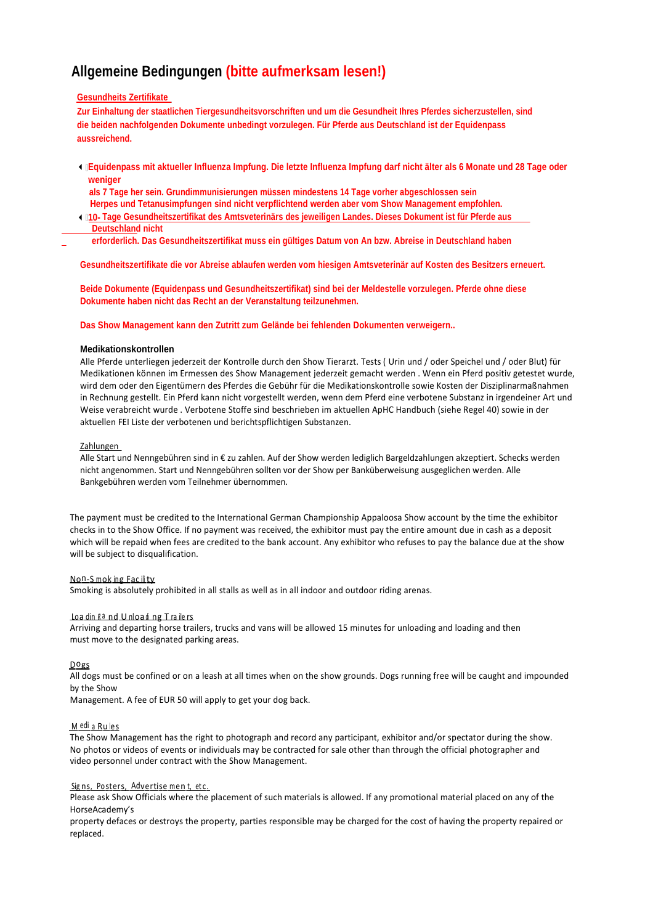# **Allgemeine Bedingungen (bitte aufmerksam lesen!)**

#### **Gesundheits Zertifikate**

**Zur Einhaltung der staatlichen Tiergesundheitsvorschriften und um die Gesundheit Ihres Pferdes sicherzustellen, sind die beiden nachfolgenden Dokumente unbedingt vorzulegen. Für Pferde aus Deutschland ist der Equidenpass aussreichend.**

In Equidenpass mit aktueller Influenza Impfung. Die letzte Influenza Impfung darf nicht älter als 6 Monate und 28 Tage oder  **weniger**

 **als 7 Tage her sein. Grundimmunisierungen müssen mindestens 14 Tage vorher abgeschlossen sein Herpes und Tetanusimpfungen sind nicht verpflichtend werden aber vom Show Management empfohlen.**

 **10- Tage Gesundheitszertifikat des Amtsveterinärs des jeweiligen Landes. Dieses Dokument ist für Pferde aus Deutschland nicht**

 **erforderlich. Das Gesundheitszertifikat muss ein gültiges Datum von An bzw. Abreise in Deutschland haben**

**Gesundheitszertifikate die vor Abreise ablaufen werden vom hiesigen Amtsveterinär auf Kosten des Besitzers erneuert.**

**Beide Dokumente (Equidenpass und Gesundheitszertifikat) sind bei der Meldestelle vorzulegen. Pferde ohne diese Dokumente haben nicht das Recht an der Veranstaltung teilzunehmen.**

#### **Das Show Management kann den Zutritt zum Gelände bei fehlenden Dokumenten verweigern..**

#### **Medikationskontrollen**

Alle Pferde unterliegen jederzeit der Kontrolle durch den Show Tierarzt. Tests ( Urin und / oder Speichel und / oder Blut) für Medikationen können im Ermessen des Show Management jederzeit gemacht werden . Wenn ein Pferd positiv getestet wurde, wird dem oder den Eigentümern des Pferdes die Gebühr für die Medikationskontrolle sowie Kosten der Disziplinarmaßnahmen in Rechnung gestellt. Ein Pferd kann nicht vorgestellt werden, wenn dem Pferd eine verbotene Substanz in irgendeiner Art und Weise verabreicht wurde . Verbotene Stoffe sind beschrieben im aktuellen ApHC Handbuch (siehe Regel 40) sowie in der aktuellen FEI Liste der verbotenen und berichtspflichtigen Substanzen.

#### Zahlungen

Alle Start und Nenngebühren sind in € zu zahlen. Auf der Show werden lediglich Bargeldzahlungen akzeptiert. Schecks werden nicht angenommen. Start und Nenngebühren sollten vor der Show per Banküberweisung ausgeglichen werden. Alle Bankgebühren werden vom Teilnehmer übernommen.

The payment must be credited to the International German Championship Appaloosa Show account by the time the exhibitor checks in to the Show Office. If no payment was received, the exhibitor must pay the entire amount due in cash as a deposit which will be repaid when fees are credited to the bank account. Any exhibitor who refuses to pay the balance due at the show will be subject to disqualification.

<u>No<sup>n</sup>-S mok ing Fac ili ty</u>

Smoking is absolutely prohibited in all stalls as well as in all indoor and outdoor riding arenas.

#### <u>Loa din gand Unloading Trailers</u>

Arriving and departing horse trailers, trucks and vans will be allowed 15 minutes for unloading and loading and then must move to the designated parking areas.

#### <u>Dogs</u>

All dogs must be confined or on a leash at all times when on the show grounds. Dogs running free will be caught and impounded by the Show

Management. A fee of EUR 50 will apply to get your dog back.

#### <u>M <sup>edi</sup>a Rules</u>

The Show Management has the right to photograph and record any participant, exhibitor and/or spectator during the show. No photos or videos of events or individuals may be contracted for sale other than through the official photographer and video personnel under contract with the Show Management.

#### <u>Signs, Posters, Advertise ment, etc.</u>

Please ask Show Officials where the placement of such materials is allowed. If any promotional material placed on any of the HorseAcademy's

property defaces or destroys the property, parties responsible may be charged for the cost of having the property repaired or replaced.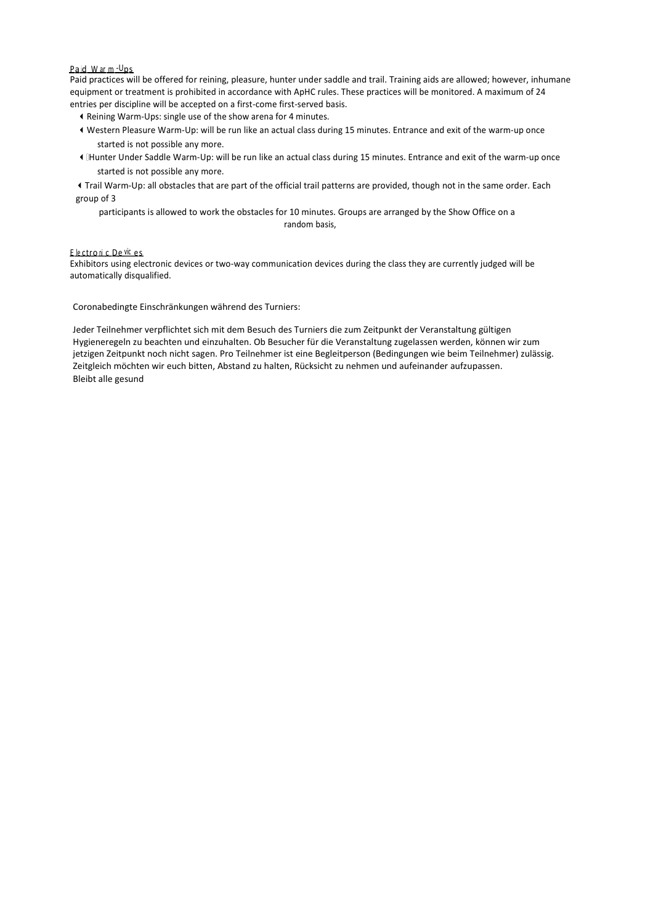## <u>Paid Warm-Ups</u>

Paid practices will be offered for reining, pleasure, hunter under saddle and trail. Training aids are allowed; however, inhumane equipment or treatment is prohibited in accordance with ApHC rules. These practices will be monitored. A maximum of 24 entries per discipline will be accepted on a first-come first-served basis.

- Reining Warm-Ups: single use of the show arena for 4 minutes.
- Western Pleasure Warm-Up: will be run like an actual class during 15 minutes. Entrance and exit of the warm-up once started is not possible any more.
- Hunter Under Saddle Warm-Up: will be run like an actual class during 15 minutes. Entrance and exit of the warm-up once started is not possible any more.
- Trail Warm-Up: all obstacles that are part of the official trail patterns are provided, though not in the same order. Each group of 3

participants is allowed to work the obstacles for 10 minutes. Groups are arranged by the Show Office on a random basis,

# <u>Electronic De <sup>vic</sup>es</u>

Exhibitors using electronic devices or two-way communication devices during the class they are currently judged will be automatically disqualified.

Coronabedingte Einschränkungen während des Turniers:

Jeder Teilnehmer verpflichtet sich mit dem Besuch des Turniers die zum Zeitpunkt der Veranstaltung gültigen Hygieneregeln zu beachten und einzuhalten. Ob Besucher für die Veranstaltung zugelassen werden, können wir zum jetzigen Zeitpunkt noch nicht sagen. Pro Teilnehmer ist eine Begleitperson (Bedingungen wie beim Teilnehmer) zulässig. Zeitgleich möchten wir euch bitten, Abstand zu halten, Rücksicht zu nehmen und aufeinander aufzupassen. Bleibt alle gesund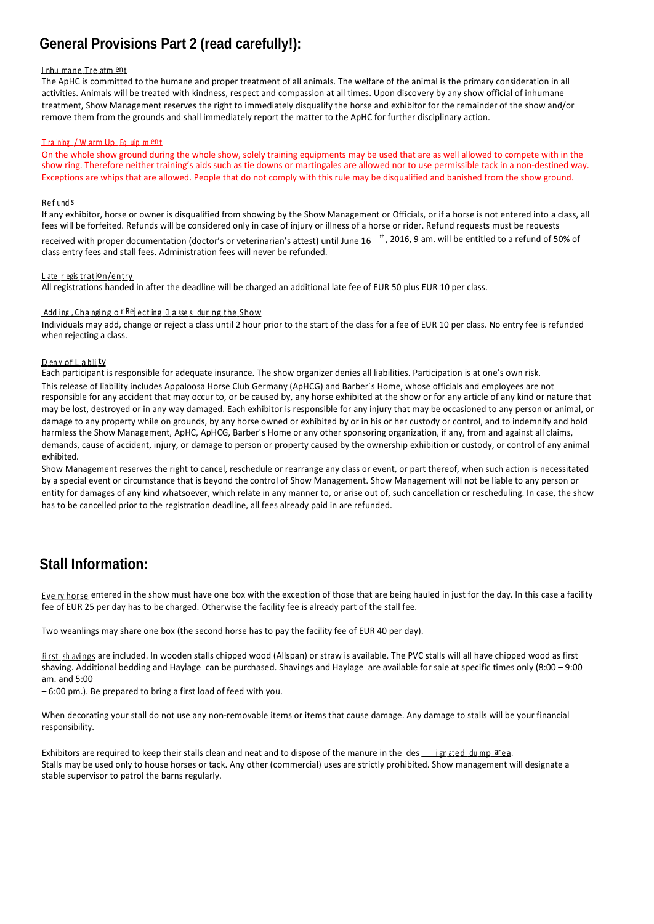# **General Provisions Part 2 (read carefully!):**

#### <u>l nhu mane Tre atm ent</u>

The ApHC is committed to the humane and proper treatment of all animals. The welfare of the animal is the primary consideration in all activities. Animals will be treated with kindness, respect and compassion at all times. Upon discovery by any show official of inhumane treatment, Show Management reserves the right to immediately disqualify the horse and exhibitor for the remainder of the show and/or remove them from the grounds and shall immediately report the matter to the ApHC for further disciplinary action.

### Tra ining / W arm Up Eq uip m en t

On the whole show ground during the whole show, solely training equipments may be used that are as well allowed to compete with in the show ring. Therefore neither training's aids such as tie downs or martingales are allowed nor to use permissible tack in a non-destined way. Exceptions are whips that are allowed. People that do not comply with this rule may be disqualified and banished from the show ground.

#### R e f und s

If any exhibitor, horse or owner is disqualified from showing by the Show Management or Officials, or if a horse is not entered into a class, all fees will be forfeited. Refunds will be considered only in case of injury or illness of a horse or rider. Refund requests must be requests

received with proper documentation (doctor's or veterinarian's attest) until June 16  $\,$  <sup>th</sup>, 2016, 9 am. will be entitled to a refund of 50% of class entry fees and stall fees. Administration fees will never be refunded.

## <u>L ate regis tration/entry</u>

All registrations handed in after the deadline will be charged an additional late fee of EUR 50 plus EUR 10 per class.

### <u>Adding, Changing of Rejecting Classes during the Show</u>

Individuals may add, change or reject a class until 2 hour prior to the start of the class for a fee of EUR 10 per class. No entry fee is refunded when rejecting a class.

#### <u>D en y of Lia bili ty</u>

Each participant is responsible for adequate insurance. The show organizer denies all liabilities. Participation is at one's own risk. This release of liability includes Appaloosa Horse Club Germany (ApHCG) and Barber´s Home, whose officials and employees are not responsible for any accident that may occur to, or be caused by, any horse exhibited at the show or for any article of any kind or nature that may be lost, destroyed or in any way damaged. Each exhibitor is responsible for any injury that may be occasioned to any person or animal, or damage to any property while on grounds, by any horse owned or exhibited by or in his or her custody or control, and to indemnify and hold harmless the Show Management, ApHC, ApHCG, Barber´s Home or any other sponsoring organization, if any, from and against all claims, demands, cause of accident, injury, or damage to person or property caused by the ownership exhibition or custody, or control of any animal exhibited.

Show Management reserves the right to cancel, reschedule or rearrange any class or event, or part thereof, when such action is necessitated by a special event or circumstance that is beyond the control of Show Management. Show Management will not be liable to any person or entity for damages of any kind whatsoever, which relate in any manner to, or arise out of, such cancellation or rescheduling. In case, the show has to be cancelled prior to the registration deadline, all fees already paid in are refunded.

# **Stall Information:**

E<u>ve ry horse</u> entered in the show must have one box with the exception of those that are being hauled in just for the day. In this case a facility fee of EUR 25 per day has to be charged. Otherwise the facility fee is already part of the stall fee.

Two weanlings may share one box (the second horse has to pay the facility fee of EUR 40 per day).

<u>fi rst\_sh avings</u> are included. In wooden stalls chipped wood (Allspan) or straw is available. The PVC stalls will all have chipped wood as first shaving. Additional bedding and Haylage can be purchased. Shavings and Haylage are available for sale at specific times only (8:00 – 9:00 am. and 5:00

– 6:00 pm.). Be prepared to bring a first load of feed with you.

When decorating your stall do not use any non-removable items or items that cause damage. Any damage to stalls will be your financial responsibility.

Exhibitors are required to keep their stalls clean and neat and to dispose of the manure in the des <u>ignated dump area</u>. Stalls may be used only to house horses or tack. Any other (commercial) uses are strictly prohibited. Show management will designate a stable supervisor to patrol the barns regularly.